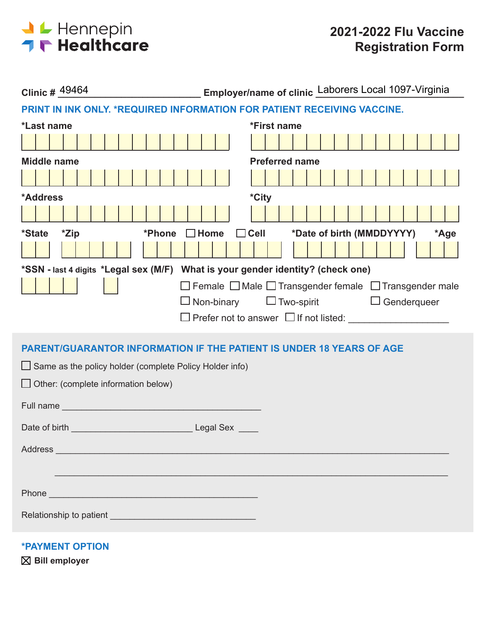

| Clinic # 49464                                                                                                                                                                                                                       |      |  |  |  |  |  |  |  |
|--------------------------------------------------------------------------------------------------------------------------------------------------------------------------------------------------------------------------------------|------|--|--|--|--|--|--|--|
| PRINT IN INK ONLY. * REQUIRED INFORMATION FOR PATIENT RECEIVING VACCINE.                                                                                                                                                             |      |  |  |  |  |  |  |  |
| *First name<br>*Last name                                                                                                                                                                                                            |      |  |  |  |  |  |  |  |
|                                                                                                                                                                                                                                      |      |  |  |  |  |  |  |  |
| <b>Preferred name</b><br><b>Middle name</b>                                                                                                                                                                                          |      |  |  |  |  |  |  |  |
|                                                                                                                                                                                                                                      |      |  |  |  |  |  |  |  |
| *City<br>*Address                                                                                                                                                                                                                    |      |  |  |  |  |  |  |  |
|                                                                                                                                                                                                                                      |      |  |  |  |  |  |  |  |
| *Date of birth (MMDDYYYY)<br>*Zip<br>$\Box$ Cell<br><i><b>*State</b></i><br>*Phone<br>$\Box$ Home                                                                                                                                    | *Age |  |  |  |  |  |  |  |
|                                                                                                                                                                                                                                      |      |  |  |  |  |  |  |  |
| *SSN - last 4 digits *Legal sex (M/F) What is your gender identity? (check one)                                                                                                                                                      |      |  |  |  |  |  |  |  |
| □ Female □ Male □ Transgender female □ Transgender male                                                                                                                                                                              |      |  |  |  |  |  |  |  |
| $\Box$ Two-spirit $\Box$ Genderqueer<br>$\Box$ Non-binary                                                                                                                                                                            |      |  |  |  |  |  |  |  |
|                                                                                                                                                                                                                                      |      |  |  |  |  |  |  |  |
| <b>PARENT/GUARANTOR INFORMATION IF THE PATIENT IS UNDER 18 YEARS OF AGE</b>                                                                                                                                                          |      |  |  |  |  |  |  |  |
| $\Box$ Same as the policy holder (complete Policy Holder info)                                                                                                                                                                       |      |  |  |  |  |  |  |  |
| $\Box$ Other: (complete information below)                                                                                                                                                                                           |      |  |  |  |  |  |  |  |
|                                                                                                                                                                                                                                      |      |  |  |  |  |  |  |  |
|                                                                                                                                                                                                                                      |      |  |  |  |  |  |  |  |
|                                                                                                                                                                                                                                      |      |  |  |  |  |  |  |  |
| Address and the contract of the contract of the contract of the contract of the contract of the contract of the contract of the contract of the contract of the contract of the contract of the contract of the contract of th       |      |  |  |  |  |  |  |  |
|                                                                                                                                                                                                                                      |      |  |  |  |  |  |  |  |
|                                                                                                                                                                                                                                      |      |  |  |  |  |  |  |  |
| Phone <b>Contract Contract Contract Contract Contract Contract Contract Contract Contract Contract Contract Contract Contract Contract Contract Contract Contract Contract Contract Contract Contract Contract Contract Contract</b> |      |  |  |  |  |  |  |  |
| Relationship to patient experience and a series of the series of the series of the series of the series of the                                                                                                                       |      |  |  |  |  |  |  |  |
|                                                                                                                                                                                                                                      |      |  |  |  |  |  |  |  |

**\*PAYMENT OPTION**

**Bill employer**